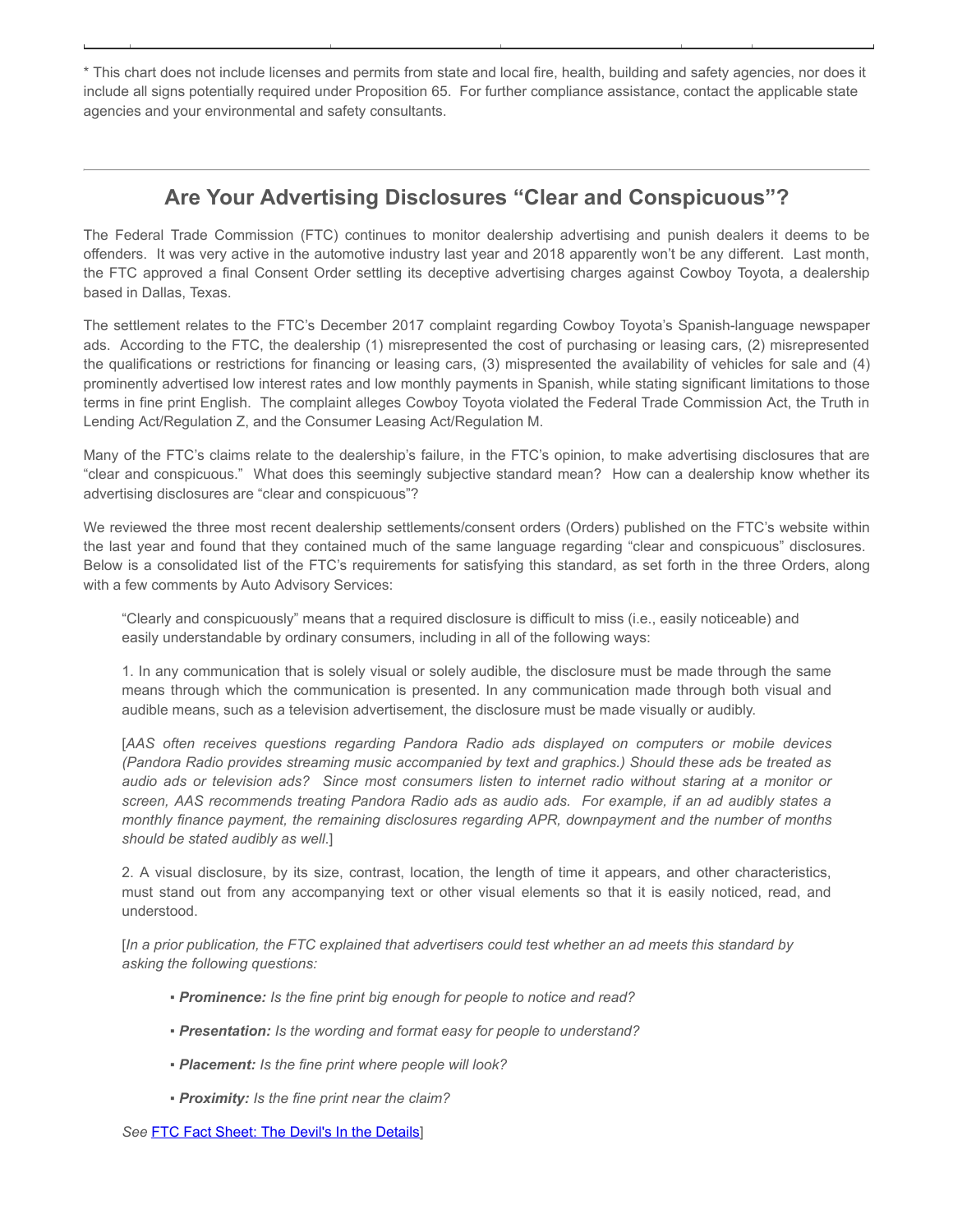\* This chart does not include licenses and permits from state and local fire, health, building and safety agencies, nor does it include all signs potentially required under Proposition 65. For further compliance assistance, contact the applicable state agencies and your environmental and safety consultants.

## Are Your Advertising Disclosures "Clear and Conspicuous"?

The Federal Trade Commission (FTC) continues to monitor dealership advertising and punish dealers it deems to be offenders. It was very active in the automotive industry last year and 2018 apparently won't be any different. Last month, the FTC approved a final Consent Order settling its deceptive advertising charges against Cowboy Toyota, a dealership based in Dallas, Texas.

The settlement relates to the FTC's December 2017 complaint regarding Cowboy Toyota's Spanish-language newspaper ads. According to the FTC, the dealership (1) misrepresented the cost of purchasing or leasing cars, (2) misrepresented the qualifications or restrictions for financing or leasing cars, (3) mispresented the availability of vehicles for sale and (4) prominently advertised low interest rates and low monthly payments in Spanish, while stating significant limitations to those terms in fine print English. The complaint alleges Cowboy Toyota violated the Federal Trade Commission Act, the Truth in Lending Act/Regulation Z, and the Consumer Leasing Act/Regulation M.

Many of the FTC's claims relate to the dealership's failure, in the FTC's opinion, to make advertising disclosures that are "clear and conspicuous." What does this seemingly subjective standard mean? How can a dealership know whether its advertising disclosures are "clear and conspicuous"?

We reviewed the three most recent dealership settlements/consent orders (Orders) published on the FTC's website within the last year and found that they contained much of the same language regarding "clear and conspicuous" disclosures. Below is a consolidated list of the FTC's requirements for satisfying this standard, as set forth in the three Orders, along with a few comments by Auto Advisory Services:

"Clearly and conspicuously" means that a required disclosure is difficult to miss (i.e., easily noticeable) and easily understandable by ordinary consumers, including in all of the following ways:

1. In any communication that is solely visual or solely audible, the disclosure must be made through the same means through which the communication is presented. In any communication made through both visual and audible means, such as a television advertisement, the disclosure must be made visually or audibly.

[AAS often receives questions regarding Pandora Radio ads displayed on computers or mobile devices (Pandora Radio provides streaming music accompanied by text and graphics.) Should these ads be treated as audio ads or television ads? Since most consumers listen to internet radio without staring at a monitor or screen, AAS recommends treating Pandora Radio ads as audio ads. For example, if an ad audibly states a monthly finance payment, the remaining disclosures regarding APR, downpayment and the number of months should be stated audibly as well.]

2. A visual disclosure, by its size, contrast, location, the length of time it appears, and other characteristics, must stand out from any accompanying text or other visual elements so that it is easily noticed, read, and understood.

[In a prior publication, the FTC explained that advertisers could test whether an ad meets this standard by asking the following questions:

- Prominence: Is the fine print big enough for people to notice and read?
- Presentation: Is the wording and format easy for people to understand?
- Placement: Is the fine print where people will look?
- Proximity: Is the fine print near the claim?

See [FTC Fact Sheet: The Devil's In the Details\]](https://www.consumer.ftc.gov/sites/default/files/games/off-site/youarehere/pages/pdf/FTC-Ad-Marketing_Devil-In-Details.pdf)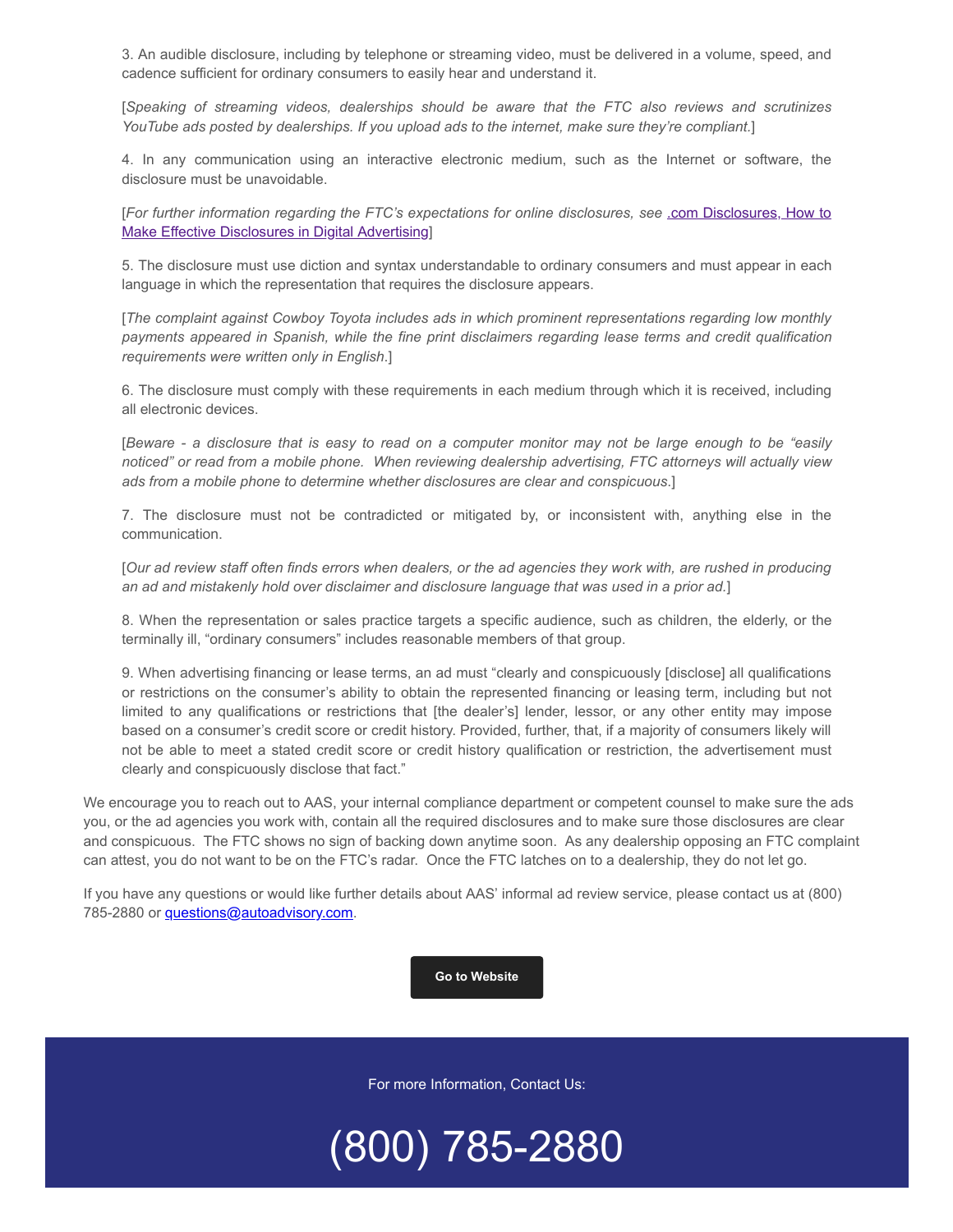3. An audible disclosure, including by telephone or streaming video, must be delivered in a volume, speed, and cadence sufficient for ordinary consumers to easily hear and understand it.

[Speaking of streaming videos, dealerships should be aware that the FTC also reviews and scrutinizes YouTube ads posted by dealerships. If you upload ads to the internet, make sure they're compliant.]

4. In any communication using an interactive electronic medium, such as the Internet or software, the disclosure must be unavoidable.

[[For further information regarding the FTC's expectations for online disclosures, see](https://www.ftc.gov/sites/default/files/attachments/press-releases/ftc-staff-revises-online-advertising-disclosure-guidelines/130312dotcomdisclosures.pdf) .com Disclosures, How to Make Effective Disclosures in Digital Advertising]

5. The disclosure must use diction and syntax understandable to ordinary consumers and must appear in each language in which the representation that requires the disclosure appears.

[The complaint against Cowboy Toyota includes ads in which prominent representations regarding low monthly payments appeared in Spanish, while the fine print disclaimers regarding lease terms and credit qualification requirements were written only in English.]

6. The disclosure must comply with these requirements in each medium through which it is received, including all electronic devices.

[Beware - a disclosure that is easy to read on a computer monitor may not be large enough to be "easily noticed" or read from a mobile phone. When reviewing dealership advertising, FTC attorneys will actually view ads from a mobile phone to determine whether disclosures are clear and conspicuous.]

7. The disclosure must not be contradicted or mitigated by, or inconsistent with, anything else in the communication.

[Our ad review staff often finds errors when dealers, or the ad agencies they work with, are rushed in producing an ad and mistakenly hold over disclaimer and disclosure language that was used in a prior ad.]

8. When the representation or sales practice targets a specific audience, such as children, the elderly, or the terminally ill, "ordinary consumers" includes reasonable members of that group.

9. When advertising financing or lease terms, an ad must "clearly and conspicuously [disclose] all qualifications or restrictions on the consumer's ability to obtain the represented financing or leasing term, including but not limited to any qualifications or restrictions that [the dealer's] lender, lessor, or any other entity may impose based on a consumer's credit score or credit history. Provided, further, that, if a majority of consumers likely will not be able to meet a stated credit score or credit history qualification or restriction, the advertisement must clearly and conspicuously disclose that fact."

We encourage you to reach out to AAS, your internal compliance department or competent counsel to make sure the ads you, or the ad agencies you work with, contain all the required disclosures and to make sure those disclosures are clear and conspicuous. The FTC shows no sign of backing down anytime soon. As any dealership opposing an FTC complaint can attest, you do not want to be on the FTC's radar. Once the FTC latches on to a dealership, they do not let go.

If you have any questions or would like further details about AAS' informal ad review service, please contact us at (800) 785-2880 or [questions@autoadvisory.com.](mailto:questions@autoadvisory.com)

## [Go to Website](http://www.autoadvisory.com/)

For more Information, Contact Us:

(800) 785-2880